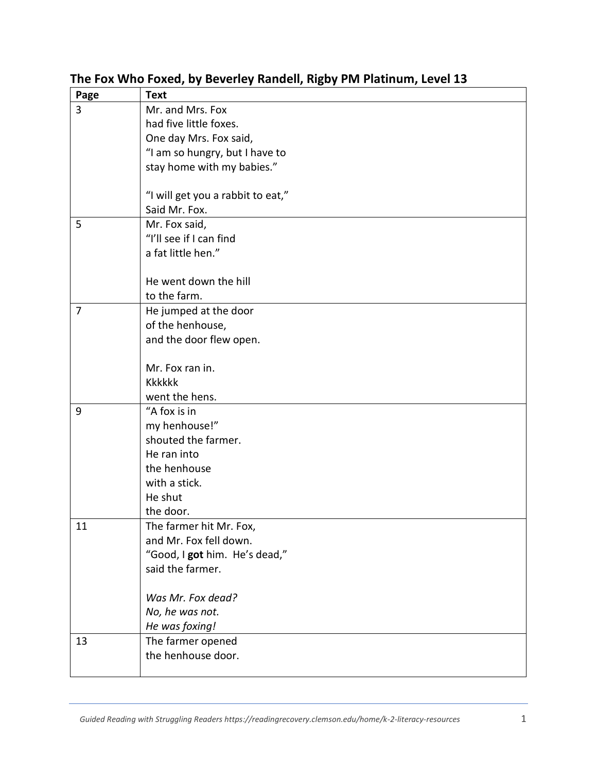| Page           | <b>Text</b>                       |
|----------------|-----------------------------------|
| 3              | Mr. and Mrs. Fox                  |
|                | had five little foxes.            |
|                | One day Mrs. Fox said,            |
|                | "I am so hungry, but I have to    |
|                | stay home with my babies."        |
|                |                                   |
|                | "I will get you a rabbit to eat," |
|                | Said Mr. Fox.                     |
| 5              | Mr. Fox said,                     |
|                | "I'll see if I can find           |
|                | a fat little hen."                |
|                | He went down the hill             |
|                | to the farm.                      |
| $\overline{7}$ | He jumped at the door             |
|                | of the henhouse,                  |
|                | and the door flew open.           |
|                |                                   |
|                | Mr. Fox ran in.                   |
|                | <b>Kkkkkk</b>                     |
|                | went the hens.                    |
| 9              | "A fox is in                      |
|                | my henhouse!"                     |
|                | shouted the farmer.               |
|                | He ran into                       |
|                | the henhouse                      |
|                | with a stick.                     |
|                | He shut                           |
|                | the door.                         |
| 11             | The farmer hit Mr. Fox,           |
|                | and Mr. Fox fell down.            |
|                | "Good, I got him. He's dead,"     |
|                | said the farmer.                  |
|                | Was Mr. Fox dead?                 |
|                | No, he was not.                   |
|                | He was foxing!                    |
| 13             | The farmer opened                 |
|                | the henhouse door.                |
|                |                                   |

**The Fox Who Foxed, by Beverley Randell, Rigby PM Platinum, Level 13**